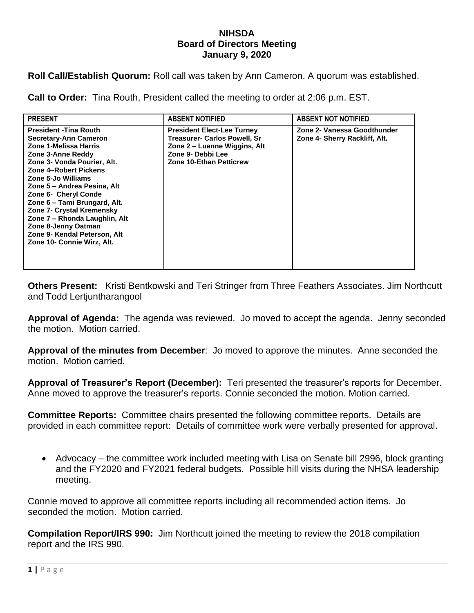## **NIHSDA Board of Directors Meeting January 9, 2020**

**Roll Call/Establish Quorum:** Roll call was taken by Ann Cameron. A quorum was established.

**Call to Order:** Tina Routh, President called the meeting to order at 2:06 p.m. EST.

| <b>PRESENT</b>                                                                                                                                                                                                                                                                                                                                                                                                                      | <b>ABSENT NOTIFIED</b>                                                                                                                                   | <b>ABSENT NOT NOTIFIED</b>                                   |
|-------------------------------------------------------------------------------------------------------------------------------------------------------------------------------------------------------------------------------------------------------------------------------------------------------------------------------------------------------------------------------------------------------------------------------------|----------------------------------------------------------------------------------------------------------------------------------------------------------|--------------------------------------------------------------|
| <b>President - Tina Routh</b><br>Secretary-Ann Cameron<br>Zone 1-Melissa Harris<br>Zone 3-Anne Reddy<br>Zone 3- Vonda Pourier, Alt.<br>Zone 4-Robert Pickens<br>Zone 5-Jo Williams<br>Zone 5 – Andrea Pesina, Alt<br>Zone 6- Cheryl Conde<br>Zone 6 - Tami Brungard, Alt.<br><b>Zone 7- Crystal Kremensky</b><br>Zone 7 - Rhonda Laughlin, Alt<br>Zone 8-Jenny Oatman<br>Zone 9- Kendal Peterson, Alt<br>Zone 10- Connie Wirz, Alt. | <b>President Elect-Lee Turney</b><br><b>Treasurer- Carlos Powell, Sr</b><br>Zone 2 – Luanne Wiggins, Alt<br>Zone 9- Debbi Lee<br>Zone 10-Ethan Petticrew | Zone 2- Vanessa Goodthunder<br>Zone 4- Sherry Rackliff, Alt. |

**Others Present:** Kristi Bentkowski and Teri Stringer from Three Feathers Associates. Jim Northcutt and Todd Lertjuntharangool

**Approval of Agenda:** The agenda was reviewed. Jo moved to accept the agenda. Jenny seconded the motion. Motion carried.

**Approval of the minutes from December**: Jo moved to approve the minutes. Anne seconded the motion. Motion carried.

**Approval of Treasurer's Report (December):** Teri presented the treasurer's reports for December. Anne moved to approve the treasurer's reports. Connie seconded the motion. Motion carried.

**Committee Reports:** Committee chairs presented the following committee reports. Details are provided in each committee report: Details of committee work were verbally presented for approval.

 Advocacy – the committee work included meeting with Lisa on Senate bill 2996, block granting and the FY2020 and FY2021 federal budgets. Possible hill visits during the NHSA leadership meeting.

Connie moved to approve all committee reports including all recommended action items. Jo seconded the motion. Motion carried.

**Compilation Report/IRS 990:** Jim Northcutt joined the meeting to review the 2018 compilation report and the IRS 990.